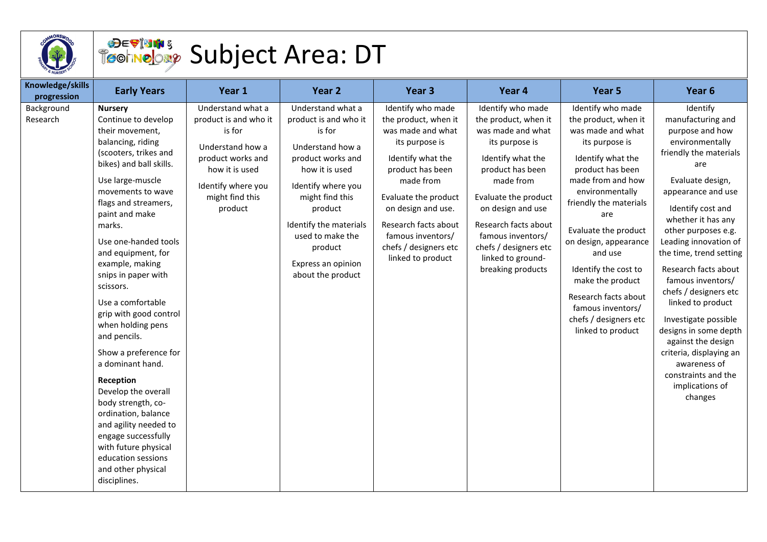

## Subject Area: DT

| Knowledge/skills<br>progression | <b>Early Years</b>                                                                                                                                                                                                                                                                                                                                                                                                                                                                                                                                                                                                                                                                        | Year 1                                                                                                                                                              | Year <sub>2</sub>                                                                                                                                                                                                                                                       | Year <sub>3</sub>                                                                                                                                                                                                                                                               | Year 4                                                                                                                                                                                                                                                                                              | Year <sub>5</sub>                                                                                                                                                                                                                                                                                                                                                                                     | Year <sub>6</sub>                                                                                                                                                                                                                                                                                                                                                                                                                                                                                                                      |
|---------------------------------|-------------------------------------------------------------------------------------------------------------------------------------------------------------------------------------------------------------------------------------------------------------------------------------------------------------------------------------------------------------------------------------------------------------------------------------------------------------------------------------------------------------------------------------------------------------------------------------------------------------------------------------------------------------------------------------------|---------------------------------------------------------------------------------------------------------------------------------------------------------------------|-------------------------------------------------------------------------------------------------------------------------------------------------------------------------------------------------------------------------------------------------------------------------|---------------------------------------------------------------------------------------------------------------------------------------------------------------------------------------------------------------------------------------------------------------------------------|-----------------------------------------------------------------------------------------------------------------------------------------------------------------------------------------------------------------------------------------------------------------------------------------------------|-------------------------------------------------------------------------------------------------------------------------------------------------------------------------------------------------------------------------------------------------------------------------------------------------------------------------------------------------------------------------------------------------------|----------------------------------------------------------------------------------------------------------------------------------------------------------------------------------------------------------------------------------------------------------------------------------------------------------------------------------------------------------------------------------------------------------------------------------------------------------------------------------------------------------------------------------------|
| Background<br>Research          | <b>Nursery</b><br>Continue to develop<br>their movement,<br>balancing, riding<br>(scooters, trikes and<br>bikes) and ball skills.<br>Use large-muscle<br>movements to wave<br>flags and streamers,<br>paint and make<br>marks.<br>Use one-handed tools<br>and equipment, for<br>example, making<br>snips in paper with<br>scissors.<br>Use a comfortable<br>grip with good control<br>when holding pens<br>and pencils.<br>Show a preference for<br>a dominant hand.<br>Reception<br>Develop the overall<br>body strength, co-<br>ordination, balance<br>and agility needed to<br>engage successfully<br>with future physical<br>education sessions<br>and other physical<br>disciplines. | Understand what a<br>product is and who it<br>is for<br>Understand how a<br>product works and<br>how it is used<br>Identify where you<br>might find this<br>product | Understand what a<br>product is and who it<br>is for<br>Understand how a<br>product works and<br>how it is used<br>Identify where you<br>might find this<br>product<br>Identify the materials<br>used to make the<br>product<br>Express an opinion<br>about the product | Identify who made<br>the product, when it<br>was made and what<br>its purpose is<br>Identify what the<br>product has been<br>made from<br>Evaluate the product<br>on design and use.<br>Research facts about<br>famous inventors/<br>chefs / designers etc<br>linked to product | Identify who made<br>the product, when it<br>was made and what<br>its purpose is<br>Identify what the<br>product has been<br>made from<br>Evaluate the product<br>on design and use<br>Research facts about<br>famous inventors/<br>chefs / designers etc<br>linked to ground-<br>breaking products | Identify who made<br>the product, when it<br>was made and what<br>its purpose is<br>Identify what the<br>product has been<br>made from and how<br>environmentally<br>friendly the materials<br>are<br>Evaluate the product<br>on design, appearance<br>and use<br>Identify the cost to<br>make the product<br>Research facts about<br>famous inventors/<br>chefs / designers etc<br>linked to product | Identify<br>manufacturing and<br>purpose and how<br>environmentally<br>friendly the materials<br>are<br>Evaluate design,<br>appearance and use<br>Identify cost and<br>whether it has any<br>other purposes e.g.<br>Leading innovation of<br>the time, trend setting<br>Research facts about<br>famous inventors/<br>chefs / designers etc<br>linked to product<br>Investigate possible<br>designs in some depth<br>against the design<br>criteria, displaying an<br>awareness of<br>constraints and the<br>implications of<br>changes |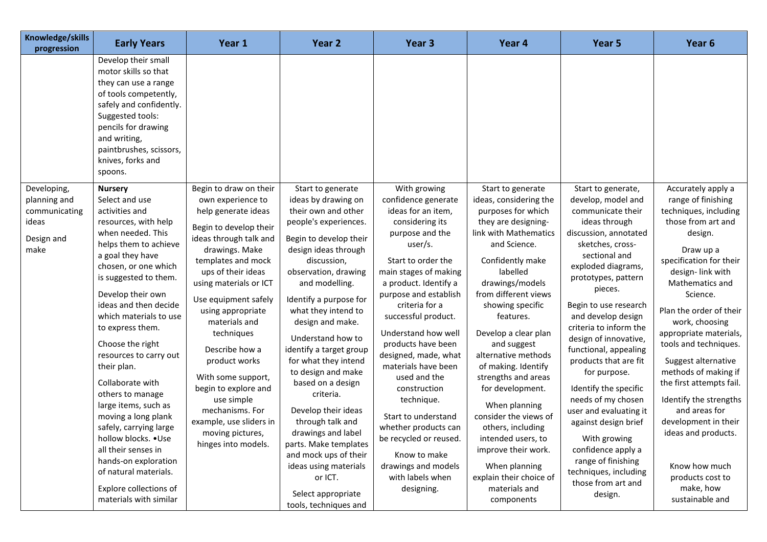| Develop their small                                                                                                                                                                                                                                                                                                                                                                                                                                                                                                                                                                                                                                                                                        |                                                                                                                                                                                                                                                                                                                                                                                                                                                                                    |                                                                                                                                                                                                                                                                                                                                                                                                                                                                                                                                                                                       |                                                                                                                                                                                                                                                                                                                                                                                                                                                                                                                                                  |                                                                                                                                                                                                                                                                                                                                                                                                                                                                                                                                                                      |                                                                                                                                                                                                                                                                                                                                                                                                                                                                                                                                                                                                 | Year 6                                                                                                                                                                                                                                                                                                                                                                                                                                                                                                                                  |
|------------------------------------------------------------------------------------------------------------------------------------------------------------------------------------------------------------------------------------------------------------------------------------------------------------------------------------------------------------------------------------------------------------------------------------------------------------------------------------------------------------------------------------------------------------------------------------------------------------------------------------------------------------------------------------------------------------|------------------------------------------------------------------------------------------------------------------------------------------------------------------------------------------------------------------------------------------------------------------------------------------------------------------------------------------------------------------------------------------------------------------------------------------------------------------------------------|---------------------------------------------------------------------------------------------------------------------------------------------------------------------------------------------------------------------------------------------------------------------------------------------------------------------------------------------------------------------------------------------------------------------------------------------------------------------------------------------------------------------------------------------------------------------------------------|--------------------------------------------------------------------------------------------------------------------------------------------------------------------------------------------------------------------------------------------------------------------------------------------------------------------------------------------------------------------------------------------------------------------------------------------------------------------------------------------------------------------------------------------------|----------------------------------------------------------------------------------------------------------------------------------------------------------------------------------------------------------------------------------------------------------------------------------------------------------------------------------------------------------------------------------------------------------------------------------------------------------------------------------------------------------------------------------------------------------------------|-------------------------------------------------------------------------------------------------------------------------------------------------------------------------------------------------------------------------------------------------------------------------------------------------------------------------------------------------------------------------------------------------------------------------------------------------------------------------------------------------------------------------------------------------------------------------------------------------|-----------------------------------------------------------------------------------------------------------------------------------------------------------------------------------------------------------------------------------------------------------------------------------------------------------------------------------------------------------------------------------------------------------------------------------------------------------------------------------------------------------------------------------------|
| motor skills so that<br>they can use a range<br>of tools competently,<br>safely and confidently.<br>Suggested tools:<br>pencils for drawing<br>and writing,<br>paintbrushes, scissors,<br>knives, forks and<br>spoons.                                                                                                                                                                                                                                                                                                                                                                                                                                                                                     |                                                                                                                                                                                                                                                                                                                                                                                                                                                                                    |                                                                                                                                                                                                                                                                                                                                                                                                                                                                                                                                                                                       |                                                                                                                                                                                                                                                                                                                                                                                                                                                                                                                                                  |                                                                                                                                                                                                                                                                                                                                                                                                                                                                                                                                                                      |                                                                                                                                                                                                                                                                                                                                                                                                                                                                                                                                                                                                 |                                                                                                                                                                                                                                                                                                                                                                                                                                                                                                                                         |
| Developing,<br><b>Nursery</b><br>Select and use<br>planning and<br>activities and<br>communicating<br>ideas<br>resources, with help<br>when needed. This<br>Design and<br>helps them to achieve<br>make<br>a goal they have<br>chosen, or one which<br>is suggested to them.<br>Develop their own<br>ideas and then decide<br>which materials to use<br>to express them.<br>Choose the right<br>resources to carry out<br>their plan.<br>Collaborate with<br>others to manage<br>large items, such as<br>moving a long plank<br>safely, carrying large<br>hollow blocks. . Use<br>all their senses in<br>hands-on exploration<br>of natural materials.<br>Explore collections of<br>materials with similar | Begin to draw on their<br>own experience to<br>help generate ideas<br>Begin to develop their<br>ideas through talk and<br>drawings. Make<br>templates and mock<br>ups of their ideas<br>using materials or ICT<br>Use equipment safely<br>using appropriate<br>materials and<br>techniques<br>Describe how a<br>product works<br>With some support,<br>begin to explore and<br>use simple<br>mechanisms. For<br>example, use sliders in<br>moving pictures,<br>hinges into models. | Start to generate<br>ideas by drawing on<br>their own and other<br>people's experiences.<br>Begin to develop their<br>design ideas through<br>discussion,<br>observation, drawing<br>and modelling.<br>Identify a purpose for<br>what they intend to<br>design and make.<br>Understand how to<br>identify a target group<br>for what they intend<br>to design and make<br>based on a design<br>criteria.<br>Develop their ideas<br>through talk and<br>drawings and label<br>parts. Make templates<br>and mock ups of their<br>ideas using materials<br>or ICT.<br>Select appropriate | With growing<br>confidence generate<br>ideas for an item,<br>considering its<br>purpose and the<br>user/s.<br>Start to order the<br>main stages of making<br>a product. Identify a<br>purpose and establish<br>criteria for a<br>successful product.<br>Understand how well<br>products have been<br>designed, made, what<br>materials have been<br>used and the<br>construction<br>technique.<br>Start to understand<br>whether products can<br>be recycled or reused.<br>Know to make<br>drawings and models<br>with labels when<br>designing. | Start to generate<br>ideas, considering the<br>purposes for which<br>they are designing-<br>link with Mathematics<br>and Science.<br>Confidently make<br>labelled<br>drawings/models<br>from different views<br>showing specific<br>features.<br>Develop a clear plan<br>and suggest<br>alternative methods<br>of making. Identify<br>strengths and areas<br>for development.<br>When planning<br>consider the views of<br>others, including<br>intended users, to<br>improve their work.<br>When planning<br>explain their choice of<br>materials and<br>components | Start to generate,<br>develop, model and<br>communicate their<br>ideas through<br>discussion, annotated<br>sketches, cross-<br>sectional and<br>exploded diagrams,<br>prototypes, pattern<br>pieces.<br>Begin to use research<br>and develop design<br>criteria to inform the<br>design of innovative,<br>functional, appealing<br>products that are fit<br>for purpose.<br>Identify the specific<br>needs of my chosen<br>user and evaluating it<br>against design brief<br>With growing<br>confidence apply a<br>range of finishing<br>techniques, including<br>those from art and<br>design. | Accurately apply a<br>range of finishing<br>techniques, including<br>those from art and<br>design.<br>Draw up a<br>specification for their<br>design-link with<br>Mathematics and<br>Science.<br>Plan the order of their<br>work, choosing<br>appropriate materials,<br>tools and techniques.<br>Suggest alternative<br>methods of making if<br>the first attempts fail.<br>Identify the strengths<br>and areas for<br>development in their<br>ideas and products.<br>Know how much<br>products cost to<br>make, how<br>sustainable and |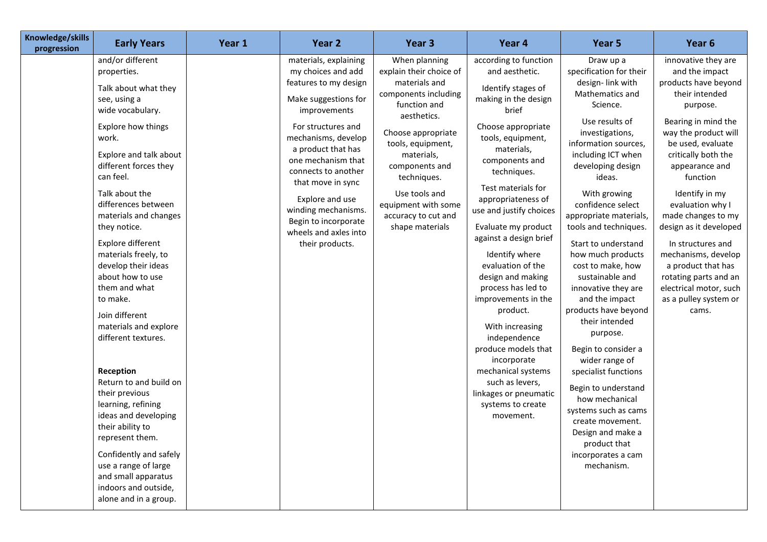| Knowledge/skills<br>progression | <b>Early Years</b>                                                                                                                                                                                                                                                                                                                                                                                                                                                                                                                                                                                                                                                                                                                          | Year 1 | Year 2                                                                                                                                                                                                                                                                                                                                                          | Year <sub>3</sub>                                                                                                                                                                                                                                                                            | Year 4                                                                                                                                                                                                                                                                                                                                                                                                                                                                                                                                                                                                             | Year 5                                                                                                                                                                                                                                                                                                                                                                                                                                                                                                                                                                                                                                                                                                              | Year 6                                                                                                                                                                                                                                                                                                                                                                                                                                                            |
|---------------------------------|---------------------------------------------------------------------------------------------------------------------------------------------------------------------------------------------------------------------------------------------------------------------------------------------------------------------------------------------------------------------------------------------------------------------------------------------------------------------------------------------------------------------------------------------------------------------------------------------------------------------------------------------------------------------------------------------------------------------------------------------|--------|-----------------------------------------------------------------------------------------------------------------------------------------------------------------------------------------------------------------------------------------------------------------------------------------------------------------------------------------------------------------|----------------------------------------------------------------------------------------------------------------------------------------------------------------------------------------------------------------------------------------------------------------------------------------------|--------------------------------------------------------------------------------------------------------------------------------------------------------------------------------------------------------------------------------------------------------------------------------------------------------------------------------------------------------------------------------------------------------------------------------------------------------------------------------------------------------------------------------------------------------------------------------------------------------------------|---------------------------------------------------------------------------------------------------------------------------------------------------------------------------------------------------------------------------------------------------------------------------------------------------------------------------------------------------------------------------------------------------------------------------------------------------------------------------------------------------------------------------------------------------------------------------------------------------------------------------------------------------------------------------------------------------------------------|-------------------------------------------------------------------------------------------------------------------------------------------------------------------------------------------------------------------------------------------------------------------------------------------------------------------------------------------------------------------------------------------------------------------------------------------------------------------|
|                                 | and/or different<br>properties.<br>Talk about what they<br>see, using a<br>wide vocabulary.<br>Explore how things<br>work.<br>Explore and talk about<br>different forces they<br>can feel.<br>Talk about the<br>differences between<br>materials and changes<br>they notice.<br>Explore different<br>materials freely, to<br>develop their ideas<br>about how to use<br>them and what<br>to make.<br>Join different<br>materials and explore<br>different textures.<br>Reception<br>Return to and build on<br>their previous<br>learning, refining<br>ideas and developing<br>their ability to<br>represent them.<br>Confidently and safely<br>use a range of large<br>and small apparatus<br>indoors and outside,<br>alone and in a group. |        | materials, explaining<br>my choices and add<br>features to my design<br>Make suggestions for<br>improvements<br>For structures and<br>mechanisms, develop<br>a product that has<br>one mechanism that<br>connects to another<br>that move in sync<br>Explore and use<br>winding mechanisms.<br>Begin to incorporate<br>wheels and axles into<br>their products. | When planning<br>explain their choice of<br>materials and<br>components including<br>function and<br>aesthetics.<br>Choose appropriate<br>tools, equipment,<br>materials,<br>components and<br>techniques.<br>Use tools and<br>equipment with some<br>accuracy to cut and<br>shape materials | according to function<br>and aesthetic.<br>Identify stages of<br>making in the design<br>brief<br>Choose appropriate<br>tools, equipment,<br>materials,<br>components and<br>techniques.<br>Test materials for<br>appropriateness of<br>use and justify choices<br>Evaluate my product<br>against a design brief<br>Identify where<br>evaluation of the<br>design and making<br>process has led to<br>improvements in the<br>product.<br>With increasing<br>independence<br>produce models that<br>incorporate<br>mechanical systems<br>such as levers,<br>linkages or pneumatic<br>systems to create<br>movement. | Draw up a<br>specification for their<br>design-link with<br>Mathematics and<br>Science.<br>Use results of<br>investigations,<br>information sources,<br>including ICT when<br>developing design<br>ideas.<br>With growing<br>confidence select<br>appropriate materials,<br>tools and techniques.<br>Start to understand<br>how much products<br>cost to make, how<br>sustainable and<br>innovative they are<br>and the impact<br>products have beyond<br>their intended<br>purpose.<br>Begin to consider a<br>wider range of<br>specialist functions<br>Begin to understand<br>how mechanical<br>systems such as cams<br>create movement.<br>Design and make a<br>product that<br>incorporates a cam<br>mechanism. | innovative they are<br>and the impact<br>products have beyond<br>their intended<br>purpose.<br>Bearing in mind the<br>way the product will<br>be used, evaluate<br>critically both the<br>appearance and<br>function<br>Identify in my<br>evaluation why I<br>made changes to my<br>design as it developed<br>In structures and<br>mechanisms, develop<br>a product that has<br>rotating parts and an<br>electrical motor, such<br>as a pulley system or<br>cams. |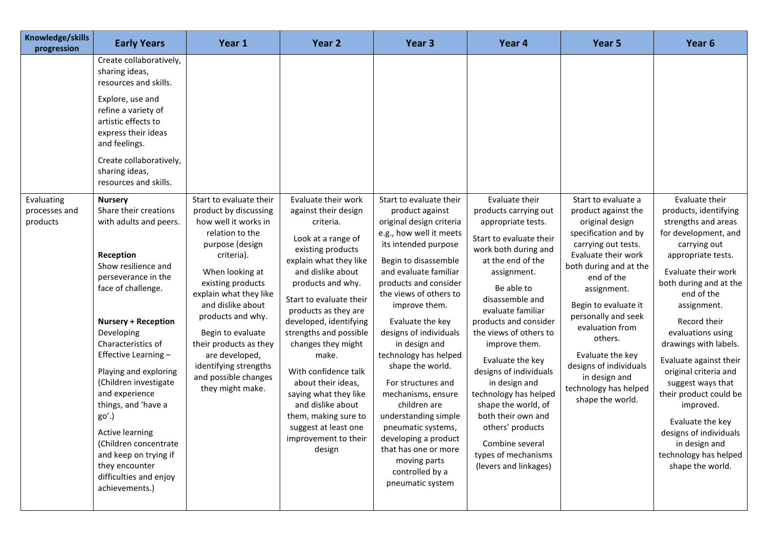| Knowledge/skills<br>progression         | <b>Early Years</b>                                                                                                                                                                                                                                                                                                                                                                                                                                                                  | Year 1                                                                                                                                                                                                                                                                                                                                                                         | Year <sub>2</sub>                                                                                                                                                                                                                                                                                                                                                                                                                                                                           | Year 3                                                                                                                                                                                                                                                                                                                                                                                                                                                                                                                                                                      | Year 4                                                                                                                                                                                                                                                                                                                                                                                                                                                                                                     | Year 5                                                                                                                                                                                                                                                                                                                                                                              | Year 6                                                                                                                                                                                                                                                                                                                                                                                                                                                                                              |
|-----------------------------------------|-------------------------------------------------------------------------------------------------------------------------------------------------------------------------------------------------------------------------------------------------------------------------------------------------------------------------------------------------------------------------------------------------------------------------------------------------------------------------------------|--------------------------------------------------------------------------------------------------------------------------------------------------------------------------------------------------------------------------------------------------------------------------------------------------------------------------------------------------------------------------------|---------------------------------------------------------------------------------------------------------------------------------------------------------------------------------------------------------------------------------------------------------------------------------------------------------------------------------------------------------------------------------------------------------------------------------------------------------------------------------------------|-----------------------------------------------------------------------------------------------------------------------------------------------------------------------------------------------------------------------------------------------------------------------------------------------------------------------------------------------------------------------------------------------------------------------------------------------------------------------------------------------------------------------------------------------------------------------------|------------------------------------------------------------------------------------------------------------------------------------------------------------------------------------------------------------------------------------------------------------------------------------------------------------------------------------------------------------------------------------------------------------------------------------------------------------------------------------------------------------|-------------------------------------------------------------------------------------------------------------------------------------------------------------------------------------------------------------------------------------------------------------------------------------------------------------------------------------------------------------------------------------|-----------------------------------------------------------------------------------------------------------------------------------------------------------------------------------------------------------------------------------------------------------------------------------------------------------------------------------------------------------------------------------------------------------------------------------------------------------------------------------------------------|
|                                         | Create collaboratively,<br>sharing ideas,<br>resources and skills.<br>Explore, use and<br>refine a variety of<br>artistic effects to<br>express their ideas<br>and feelings.<br>Create collaboratively,<br>sharing ideas,<br>resources and skills.                                                                                                                                                                                                                                  |                                                                                                                                                                                                                                                                                                                                                                                |                                                                                                                                                                                                                                                                                                                                                                                                                                                                                             |                                                                                                                                                                                                                                                                                                                                                                                                                                                                                                                                                                             |                                                                                                                                                                                                                                                                                                                                                                                                                                                                                                            |                                                                                                                                                                                                                                                                                                                                                                                     |                                                                                                                                                                                                                                                                                                                                                                                                                                                                                                     |
| Evaluating<br>processes and<br>products | <b>Nursery</b><br>Share their creations<br>with adults and peers.<br>Reception<br>Show resilience and<br>perseverance in the<br>face of challenge.<br><b>Nursery + Reception</b><br>Developing<br>Characteristics of<br>Effective Learning -<br>Playing and exploring<br>(Children investigate<br>and experience<br>things, and 'have a<br>go'.)<br>Active learning<br>(Children concentrate<br>and keep on trying if<br>they encounter<br>difficulties and enjoy<br>achievements.) | Start to evaluate their<br>product by discussing<br>how well it works in<br>relation to the<br>purpose (design<br>criteria).<br>When looking at<br>existing products<br>explain what they like<br>and dislike about<br>products and why.<br>Begin to evaluate<br>their products as they<br>are developed,<br>identifying strengths<br>and possible changes<br>they might make. | Evaluate their work<br>against their design<br>criteria.<br>Look at a range of<br>existing products<br>explain what they like<br>and dislike about<br>products and why.<br>Start to evaluate their<br>products as they are<br>developed, identifying<br>strengths and possible<br>changes they might<br>make.<br>With confidence talk<br>about their ideas,<br>saying what they like<br>and dislike about<br>them, making sure to<br>suggest at least one<br>improvement to their<br>design | Start to evaluate their<br>product against<br>original design criteria<br>e.g., how well it meets<br>its intended purpose<br>Begin to disassemble<br>and evaluate familiar<br>products and consider<br>the views of others to<br>improve them.<br>Evaluate the key<br>designs of individuals<br>in design and<br>technology has helped<br>shape the world.<br>For structures and<br>mechanisms, ensure<br>children are<br>understanding simple<br>pneumatic systems,<br>developing a product<br>that has one or more<br>moving parts<br>controlled by a<br>pneumatic system | Evaluate their<br>products carrying out<br>appropriate tests.<br>Start to evaluate their<br>work both during and<br>at the end of the<br>assignment.<br>Be able to<br>disassemble and<br>evaluate familiar<br>products and consider<br>the views of others to<br>improve them.<br>Evaluate the key<br>designs of individuals<br>in design and<br>technology has helped<br>shape the world, of<br>both their own and<br>others' products<br>Combine several<br>types of mechanisms<br>(levers and linkages) | Start to evaluate a<br>product against the<br>original design<br>specification and by<br>carrying out tests.<br>Evaluate their work<br>both during and at the<br>end of the<br>assignment.<br>Begin to evaluate it<br>personally and seek<br>evaluation from<br>others.<br>Evaluate the key<br>designs of individuals<br>in design and<br>technology has helped<br>shape the world. | Evaluate their<br>products, identifying<br>strengths and areas<br>for development, and<br>carrying out<br>appropriate tests.<br>Evaluate their work<br>both during and at the<br>end of the<br>assignment.<br>Record their<br>evaluations using<br>drawings with labels.<br>Evaluate against their<br>original criteria and<br>suggest ways that<br>their product could be<br>improved.<br>Evaluate the key<br>designs of individuals<br>in design and<br>technology has helped<br>shape the world. |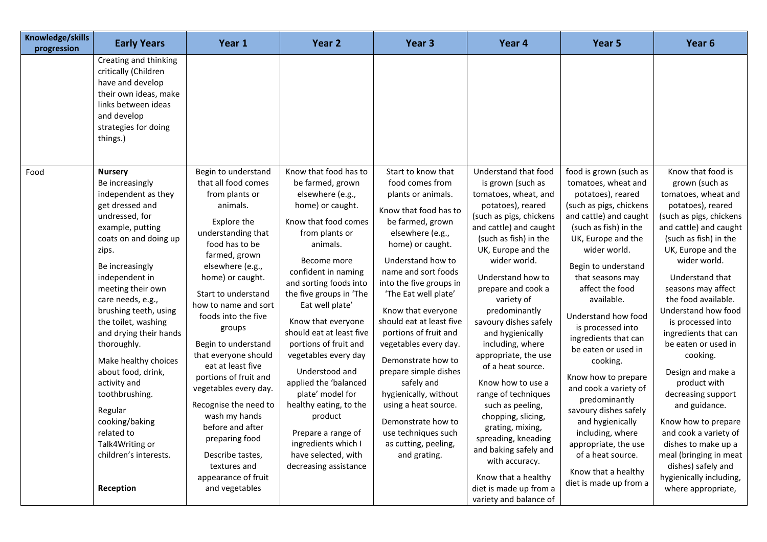| Creating and thinking<br>critically (Children<br>have and develop<br>their own ideas, make<br>links between ideas<br>and develop<br>strategies for doing<br>things.)<br>Begin to understand<br>Food<br><b>Nursery</b><br>that all food comes<br>Be increasingly<br>independent as they<br>from plants or<br>get dressed and<br>animals.<br>undressed, for<br>Explore the<br>example, putting<br>understanding that<br>coats on and doing up<br>food has to be                                                                                                                                                                                                                                                                                                                                 |                                                                                                                                                                                                                                                                                                                                                                                                                                                                                                                                                           |                                                                                                                                                                                                                                                                                                                                                                                                                                                                                                                                                        |                                                                                                                                                                                                                                                                                                                                                                                                                                                                                                                                                                                                                                 | Year 5                                                                                                                                                                                                                                                                                                                                                                                                                                                                                                                                                                                                    | Year 6                                                                                                                                                                                                                                                                                                                                                                                                                                                                                                                                                                                                                         |
|-----------------------------------------------------------------------------------------------------------------------------------------------------------------------------------------------------------------------------------------------------------------------------------------------------------------------------------------------------------------------------------------------------------------------------------------------------------------------------------------------------------------------------------------------------------------------------------------------------------------------------------------------------------------------------------------------------------------------------------------------------------------------------------------------|-----------------------------------------------------------------------------------------------------------------------------------------------------------------------------------------------------------------------------------------------------------------------------------------------------------------------------------------------------------------------------------------------------------------------------------------------------------------------------------------------------------------------------------------------------------|--------------------------------------------------------------------------------------------------------------------------------------------------------------------------------------------------------------------------------------------------------------------------------------------------------------------------------------------------------------------------------------------------------------------------------------------------------------------------------------------------------------------------------------------------------|---------------------------------------------------------------------------------------------------------------------------------------------------------------------------------------------------------------------------------------------------------------------------------------------------------------------------------------------------------------------------------------------------------------------------------------------------------------------------------------------------------------------------------------------------------------------------------------------------------------------------------|-----------------------------------------------------------------------------------------------------------------------------------------------------------------------------------------------------------------------------------------------------------------------------------------------------------------------------------------------------------------------------------------------------------------------------------------------------------------------------------------------------------------------------------------------------------------------------------------------------------|--------------------------------------------------------------------------------------------------------------------------------------------------------------------------------------------------------------------------------------------------------------------------------------------------------------------------------------------------------------------------------------------------------------------------------------------------------------------------------------------------------------------------------------------------------------------------------------------------------------------------------|
|                                                                                                                                                                                                                                                                                                                                                                                                                                                                                                                                                                                                                                                                                                                                                                                               |                                                                                                                                                                                                                                                                                                                                                                                                                                                                                                                                                           |                                                                                                                                                                                                                                                                                                                                                                                                                                                                                                                                                        |                                                                                                                                                                                                                                                                                                                                                                                                                                                                                                                                                                                                                                 |                                                                                                                                                                                                                                                                                                                                                                                                                                                                                                                                                                                                           |                                                                                                                                                                                                                                                                                                                                                                                                                                                                                                                                                                                                                                |
| zips.<br>farmed, grown<br>Be increasingly<br>elsewhere (e.g.,<br>independent in<br>home) or caught.<br>meeting their own<br>Start to understand<br>care needs, e.g.,<br>how to name and sort<br>brushing teeth, using<br>foods into the five<br>the toilet, washing<br>groups<br>and drying their hands<br>thoroughly.<br>Begin to understand<br>that everyone should<br>Make healthy choices<br>eat at least five<br>about food, drink,<br>portions of fruit and<br>activity and<br>vegetables every day.<br>toothbrushing.<br>Recognise the need to<br>Regular<br>wash my hands<br>cooking/baking<br>before and after<br>related to<br>preparing food<br>Talk4Writing or<br>children's interests.<br>Describe tastes,<br>textures and<br>appearance of fruit<br>Reception<br>and vegetables | Know that food has to<br>be farmed, grown<br>elsewhere (e.g.,<br>home) or caught.<br>Know that food comes<br>from plants or<br>animals.<br>Become more<br>confident in naming<br>and sorting foods into<br>the five groups in 'The<br>Eat well plate'<br>Know that everyone<br>should eat at least five<br>portions of fruit and<br>vegetables every day<br>Understood and<br>applied the 'balanced<br>plate' model for<br>healthy eating, to the<br>product<br>Prepare a range of<br>ingredients which I<br>have selected, with<br>decreasing assistance | Start to know that<br>food comes from<br>plants or animals.<br>Know that food has to<br>be farmed, grown<br>elsewhere (e.g.,<br>home) or caught.<br>Understand how to<br>name and sort foods<br>into the five groups in<br>'The Eat well plate'<br>Know that everyone<br>should eat at least five<br>portions of fruit and<br>vegetables every day.<br>Demonstrate how to<br>prepare simple dishes<br>safely and<br>hygienically, without<br>using a heat source.<br>Demonstrate how to<br>use techniques such<br>as cutting, peeling,<br>and grating. | Understand that food<br>is grown (such as<br>tomatoes, wheat, and<br>potatoes), reared<br>(such as pigs, chickens<br>and cattle) and caught<br>(such as fish) in the<br>UK, Europe and the<br>wider world.<br>Understand how to<br>prepare and cook a<br>variety of<br>predominantly<br>savoury dishes safely<br>and hygienically<br>including, where<br>appropriate, the use<br>of a heat source.<br>Know how to use a<br>range of techniques<br>such as peeling,<br>chopping, slicing,<br>grating, mixing,<br>spreading, kneading<br>and baking safely and<br>with accuracy.<br>Know that a healthy<br>diet is made up from a | food is grown (such as<br>tomatoes, wheat and<br>potatoes), reared<br>(such as pigs, chickens<br>and cattle) and caught<br>(such as fish) in the<br>UK, Europe and the<br>wider world.<br>Begin to understand<br>that seasons may<br>affect the food<br>available.<br>Understand how food<br>is processed into<br>ingredients that can<br>be eaten or used in<br>cooking.<br>Know how to prepare<br>and cook a variety of<br>predominantly<br>savoury dishes safely<br>and hygienically<br>including, where<br>appropriate, the use<br>of a heat source.<br>Know that a healthy<br>diet is made up from a | Know that food is<br>grown (such as<br>tomatoes, wheat and<br>potatoes), reared<br>(such as pigs, chickens<br>and cattle) and caught<br>(such as fish) in the<br>UK, Europe and the<br>wider world.<br>Understand that<br>seasons may affect<br>the food available.<br>Understand how food<br>is processed into<br>ingredients that can<br>be eaten or used in<br>cooking.<br>Design and make a<br>product with<br>decreasing support<br>and guidance.<br>Know how to prepare<br>and cook a variety of<br>dishes to make up a<br>meal (bringing in meat<br>dishes) safely and<br>hygienically including,<br>where appropriate, |